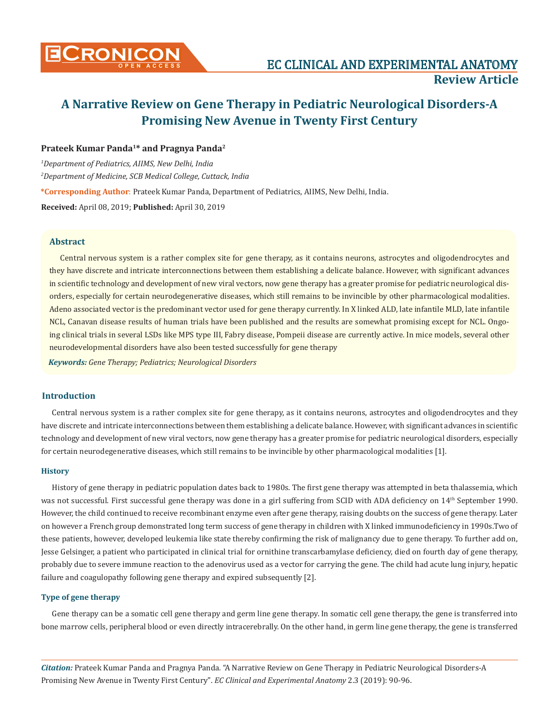

# **Prateek Kumar Panda1\* and Pragnya Panda2**

*1 Department of Pediatrics, AIIMS, New Delhi, India 2 Department of Medicine, SCB Medical College, Cuttack, India*

**\*Corresponding Author**: Prateek Kumar Panda, Department of Pediatrics, AIIMS, New Delhi, India.

**Received:** April 08, 2019; **Published:** April 30, 2019

### **Abstract**

Central nervous system is a rather complex site for gene therapy, as it contains neurons, astrocytes and oligodendrocytes and they have discrete and intricate interconnections between them establishing a delicate balance. However, with significant advances in scientific technology and development of new viral vectors, now gene therapy has a greater promise for pediatric neurological disorders, especially for certain neurodegenerative diseases, which still remains to be invincible by other pharmacological modalities. Adeno associated vector is the predominant vector used for gene therapy currently. In X linked ALD, late infantile MLD, late infantile NCL, Canavan disease results of human trials have been published and the results are somewhat promising except for NCL. Ongoing clinical trials in several LSDs like MPS type III, Fabry disease, Pompeii disease are currently active. In mice models, several other neurodevelopmental disorders have also been tested successfully for gene therapy

*Keywords: Gene Therapy; Pediatrics; Neurological Disorders*

## **Introduction**

Central nervous system is a rather complex site for gene therapy, as it contains neurons, astrocytes and oligodendrocytes and they have discrete and intricate interconnections between them establishing a delicate balance. However, with significant advances in scientific technology and development of new viral vectors, now gene therapy has a greater promise for pediatric neurological disorders, especially for certain neurodegenerative diseases, which still remains to be invincible by other pharmacological modalities [1].

## **History**

History of gene therapy in pediatric population dates back to 1980s. The first gene therapy was attempted in beta thalassemia, which was not successful. First successful gene therapy was done in a girl suffering from SCID with ADA deficiency on 14<sup>th</sup> September 1990. However, the child continued to receive recombinant enzyme even after gene therapy, raising doubts on the success of gene therapy. Later on however a French group demonstrated long term success of gene therapy in children with X linked immunodeficiency in 1990s.Two of these patients, however, developed leukemia like state thereby confirming the risk of malignancy due to gene therapy. To further add on, Jesse Gelsinger, a patient who participated in clinical trial for ornithine transcarbamylase deficiency, died on fourth day of gene therapy, probably due to severe immune reaction to the adenovirus used as a vector for carrying the gene. The child had acute lung injury, hepatic failure and coagulopathy following gene therapy and expired subsequently [2].

### **Type of gene therapy**

Gene therapy can be a somatic cell gene therapy and germ line gene therapy. In somatic cell gene therapy, the gene is transferred into bone marrow cells, peripheral blood or even directly intracerebrally. On the other hand, in germ line gene therapy, the gene is transferred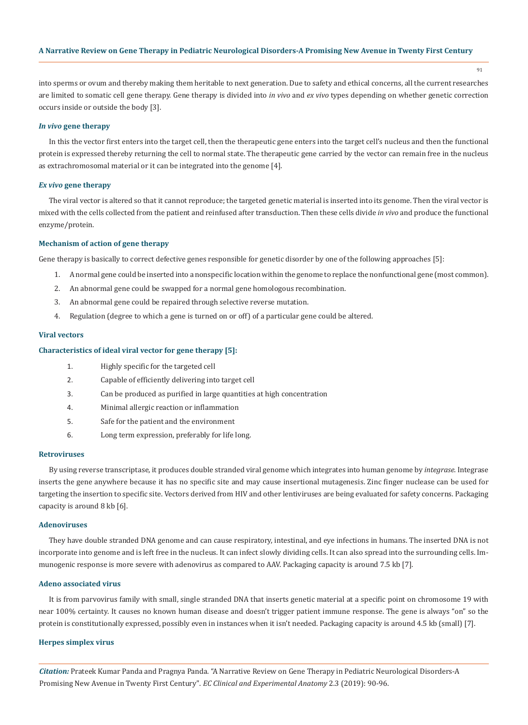91

into sperms or ovum and thereby making them heritable to next generation. Due to safety and ethical concerns, all the current researches are limited to somatic cell gene therapy. Gene therapy is divided into *in vivo* and *ex vivo* types depending on whether genetic correction occurs inside or outside the body [3].

### *In vivo* **gene therapy**

In this the vector first enters into the target cell, then the therapeutic gene enters into the target cell's nucleus and then the functional protein is expressed thereby returning the cell to normal state. The therapeutic gene carried by the vector can remain free in the nucleus as extrachromosomal material or it can be integrated into the genome [4].

# *Ex vivo* **gene therapy**

The viral vector is altered so that it cannot reproduce; the targeted genetic material is inserted into its genome. Then the viral vector is mixed with the cells collected from the patient and reinfused after transduction. Then these cells divide *in vivo* and produce the functional enzyme/protein.

### **Mechanism of action of gene therapy**

Gene therapy is basically to correct defective genes responsible for genetic disorder by one of the following approaches [5]:

- 1. A normal gene could be inserted into a nonspecific location within the genome to replace the nonfunctional gene (most common).
- 2. An abnormal gene could be swapped for a normal gene homologous recombination.
- 3. An abnormal gene could be repaired through selective reverse mutation.
- 4. Regulation (degree to which a gene is turned on or off) of a particular gene could be altered.

# **Viral vectors**

# **Characteristics of ideal viral vector for gene therapy [5]:**

- 1. Highly specific for the targeted cell
- 2. Capable of efficiently delivering into target cell
- 3. Can be produced as purified in large quantities at high concentration
- 4. Minimal allergic reaction or inflammation
- 5. Safe for the patient and the environment
- 6. Long term expression, preferably for life long.

### **Retroviruses**

By using reverse transcriptase, it produces double stranded viral genome which integrates into human genome by *integrase*. Integrase inserts the gene anywhere because it has no specific site and may cause insertional mutagenesis. Zinc finger nuclease can be used for targeting the insertion to specific site. Vectors derived from HIV and other lentiviruses are being evaluated for safety concerns. Packaging capacity is around 8 kb [6].

### **Adenoviruses**

They have double stranded DNA genome and can cause respiratory, intestinal, and eye infections in humans. The inserted DNA is not incorporate into genome and is left free in the nucleus. It can infect slowly dividing cells. It can also spread into the surrounding cells. Immunogenic response is more severe with adenovirus as compared to AAV. Packaging capacity is around 7.5 kb [7].

#### **Adeno associated virus**

It is from parvovirus family with small, single stranded DNA that inserts genetic material at a specific point on chromosome 19 with near 100% certainty. It causes no known human disease and doesn't trigger patient immune response. The gene is always "on" so the protein is constitutionally expressed, possibly even in instances when it isn't needed. Packaging capacity is around 4.5 kb (small) [7].

### **Herpes simplex virus**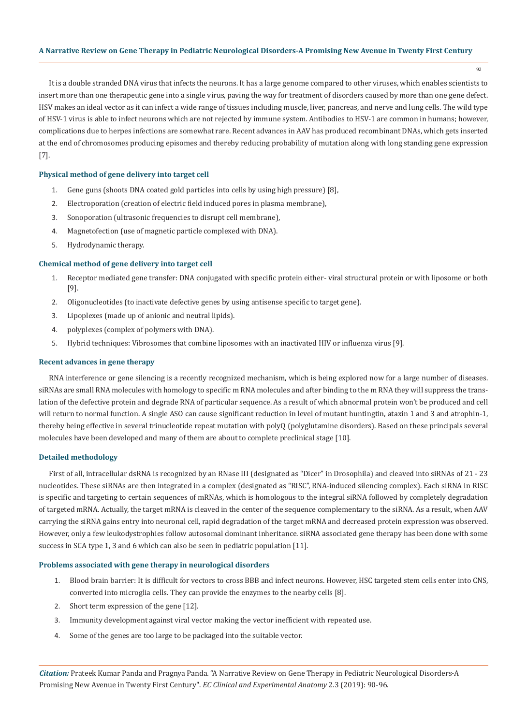92

It is a double stranded DNA virus that infects the neurons. It has a large genome compared to other viruses, which enables scientists to insert more than one therapeutic gene into a single virus, paving the way for treatment of disorders caused by more than one gene defect. HSV makes an ideal vector as it can infect a wide range of tissues including muscle, liver, pancreas, and nerve and lung cells. The wild type of HSV-1 virus is able to infect neurons which are not rejected by immune system. Antibodies to HSV-1 are common in humans; however, complications due to herpes infections are somewhat rare. Recent advances in AAV has produced recombinant DNAs, which gets inserted at the end of chromosomes producing episomes and thereby reducing probability of mutation along with long standing gene expression [7].

# **Physical method of gene delivery into target cell**

- 1. Gene guns (shoots DNA coated gold particles into cells by using high pressure) [8],
- 2. Electroporation (creation of electric field induced pores in plasma membrane),
- 3. Sonoporation (ultrasonic frequencies to disrupt cell membrane),
- 4. Magnetofection (use of magnetic particle complexed with DNA).
- 5. Hydrodynamic therapy.

### **Chemical method of gene delivery into target cell**

- 1. Receptor mediated gene transfer: DNA conjugated with specific protein either- viral structural protein or with liposome or both [9].
- 2. Oligonucleotides (to inactivate defective genes by using antisense specific to target gene).
- 3. Lipoplexes (made up of anionic and neutral lipids).
- 4. polyplexes (complex of polymers with DNA).
- 5. Hybrid techniques: Vibrosomes that combine liposomes with an inactivated HIV or influenza virus [9].

### **Recent advances in gene therapy**

RNA interference or gene silencing is a recently recognized mechanism, which is being explored now for a large number of diseases. siRNAs are small RNA molecules with homology to specific m RNA molecules and after binding to the m RNA they will suppress the translation of the defective protein and degrade RNA of particular sequence. As a result of which abnormal protein won't be produced and cell will return to normal function. A single ASO can cause significant reduction in level of mutant huntingtin, ataxin 1 and 3 and atrophin-1, thereby being effective in several trinucleotide repeat mutation with polyQ (polyglutamine disorders). Based on these principals several molecules have been developed and many of them are about to complete preclinical stage [10].

## **Detailed methodology**

First of all, intracellular dsRNA is recognized by an RNase III (designated as "Dicer" in Drosophila) and cleaved into siRNAs of 21 - 23 nucleotides. These siRNAs are then integrated in a complex (designated as "RISC", RNA-induced silencing complex). Each siRNA in RISC is specific and targeting to certain sequences of mRNAs, which is homologous to the integral siRNA followed by completely degradation of targeted mRNA. Actually, the target mRNA is cleaved in the center of the sequence complementary to the siRNA. As a result, when AAV carrying the siRNA gains entry into neuronal cell, rapid degradation of the target mRNA and decreased protein expression was observed. However, only a few leukodystrophies follow autosomal dominant inheritance. siRNA associated gene therapy has been done with some success in SCA type 1, 3 and 6 which can also be seen in pediatric population [11].

### **Problems associated with gene therapy in neurological disorders**

- 1. Blood brain barrier: It is difficult for vectors to cross BBB and infect neurons. However, HSC targeted stem cells enter into CNS, converted into microglia cells. They can provide the enzymes to the nearby cells [8].
- 2. Short term expression of the gene [12].
- 3. Immunity development against viral vector making the vector inefficient with repeated use.
- 4. Some of the genes are too large to be packaged into the suitable vector.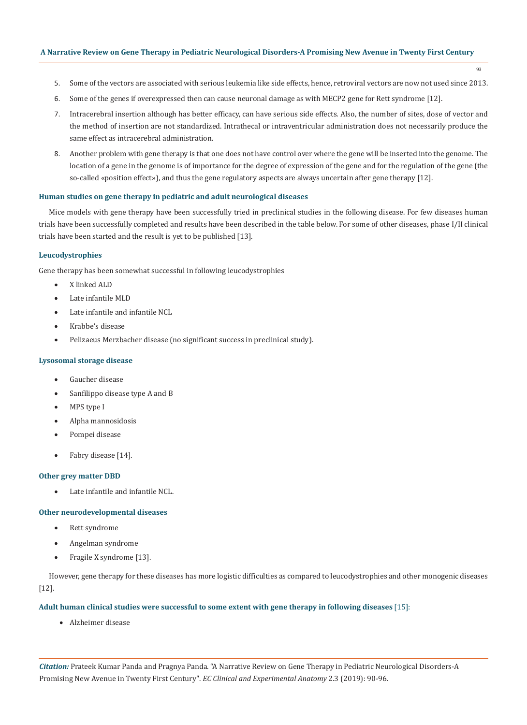- 93
- 5. Some of the vectors are associated with serious leukemia like side effects, hence, retroviral vectors are now not used since 2013.
- 6. Some of the genes if overexpressed then can cause neuronal damage as with MECP2 gene for Rett syndrome [12].
- 7. Intracerebral insertion although has better efficacy, can have serious side effects. Also, the number of sites, dose of vector and the method of insertion are not standardized. Intrathecal or intraventricular administration does not necessarily produce the same effect as intracerebral administration.
- 8. Another problem with gene therapy is that one does not have control over where the gene will be inserted into the genome. The location of a gene in the genome is of importance for the degree of expression of the gene and for the regulation of the gene (the so-called «position effect»), and thus the gene regulatory aspects are always uncertain after gene therapy [12].

# **Human studies on gene therapy in pediatric and adult neurological diseases**

Mice models with gene therapy have been successfully tried in preclinical studies in the following disease. For few diseases human trials have been successfully completed and results have been described in the table below. For some of other diseases, phase I/II clinical trials have been started and the result is yet to be published [13].

### **Leucodystrophies**

Gene therapy has been somewhat successful in following leucodystrophies

- X linked ALD
- Late infantile MLD
- Late infantile and infantile NCL
- Krabbe's disease
- Pelizaeus Merzbacher disease (no significant success in preclinical study).

### **Lysosomal storage disease**

- Gaucher disease
- Sanfilippo disease type A and B
- MPS type I
- Alpha mannosidosis
- Pompei disease
- Fabry disease [14].

#### **Other grey matter DBD**

• Late infantile and infantile NCL.

### **Other neurodevelopmental diseases**

- • Rett syndrome
- Angelman syndrome
- Fragile X syndrome [13].

However, gene therapy for these diseases has more logistic difficulties as compared to leucodystrophies and other monogenic diseases [12].

### **Adult human clinical studies were successful to some extent with gene therapy in following diseases** [15]:

• Alzheimer disease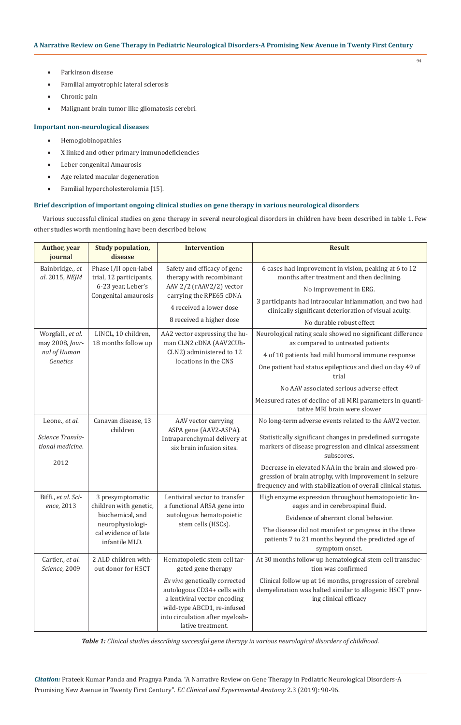- Parkinson disease
- Familial amyotrophic lateral sclerosis
- Chronic pain
- Malignant brain tumor like gliomatosis cerebri.

# **Important non-neurological diseases**

- • Hemoglobinopathies
- • X linked and other primary immunodeficiencies
- Leber congenital Amaurosis
- • Age related macular degeneration
- • Familial hypercholesterolemia [15].

# **Brief description of important ongoing clinical studies on gene therapy in various neurological disorders**

Various successful clinical studies on gene therapy in several neurological disorders in children have been described in table 1. Few other studies worth mentioning have been described below.

| <b>Author</b> , year<br>journal                                  | <b>Study population,</b><br>disease                                                                                          | <b>Intervention</b>                                                                                                                                                                 | <b>Result</b>                                                                                                                                                                   |
|------------------------------------------------------------------|------------------------------------------------------------------------------------------------------------------------------|-------------------------------------------------------------------------------------------------------------------------------------------------------------------------------------|---------------------------------------------------------------------------------------------------------------------------------------------------------------------------------|
| Bainbridge., et<br>al. 2015, NEJM                                | Phase I/II open-label<br>trial, 12 participants,<br>6-23 year, Leber's<br>Congenital amaurosis                               | Safety and efficacy of gene<br>therapy with recombinant<br>AAV 2/2 (rAAV2/2) vector<br>carrying the RPE65 cDNA<br>4 received a lower dose<br>8 received a higher dose               | 6 cases had improvement in vision, peaking at 6 to 12<br>months after treatment and then declining.                                                                             |
|                                                                  |                                                                                                                              |                                                                                                                                                                                     | No improvement in ERG.                                                                                                                                                          |
|                                                                  |                                                                                                                              |                                                                                                                                                                                     | 3 participants had intraocular inflammation, and two had<br>clinically significant deterioration of visual acuity.                                                              |
|                                                                  |                                                                                                                              |                                                                                                                                                                                     | No durable robust effect                                                                                                                                                        |
| Worgfall., et al.<br>may 2008, Jour-<br>nal of Human<br>Genetics | LINCL, 10 children,<br>18 months follow up                                                                                   | AA2 vector expressing the hu-<br>man CLN2 cDNA (AAV2CUh-<br>CLN2) administered to 12<br>locations in the CNS                                                                        | Neurological rating scale showed no significant difference<br>as compared to untreated patients                                                                                 |
|                                                                  |                                                                                                                              |                                                                                                                                                                                     | 4 of 10 patients had mild humoral immune response                                                                                                                               |
|                                                                  |                                                                                                                              |                                                                                                                                                                                     | One patient had status epilepticus and died on day 49 of<br>trial                                                                                                               |
|                                                                  |                                                                                                                              |                                                                                                                                                                                     | No AAV associated serious adverse effect                                                                                                                                        |
|                                                                  |                                                                                                                              |                                                                                                                                                                                     | Measured rates of decline of all MRI parameters in quanti-<br>tative MRI brain were slower                                                                                      |
| Leone., et al.                                                   | Canavan disease, 13                                                                                                          | AAV vector carrying<br>ASPA gene (AAV2-ASPA).<br>Intraparenchymal delivery at<br>six brain infusion sites.                                                                          | No long-term adverse events related to the AAV2 vector.                                                                                                                         |
| Science Transla-<br>tional medicine.                             | children                                                                                                                     |                                                                                                                                                                                     | Statistically significant changes in predefined surrogate<br>markers of disease progression and clinical assessment<br>subscores.                                               |
| 2012                                                             |                                                                                                                              |                                                                                                                                                                                     | Decrease in elevated NAA in the brain and slowed pro-<br>gression of brain atrophy, with improvement in seizure<br>frequency and with stabilization of overall clinical status. |
| Biffi., et al. Sci-<br>ence, 2013                                | 3 presymptomatic<br>children with genetic,<br>biochemical, and<br>neurophysiologi-<br>cal evidence of late<br>infantile MLD. | Lentiviral vector to transfer<br>a functional ARSA gene into<br>autologous hematopoietic<br>stem cells (HSCs).                                                                      | High enzyme expression throughout hematopoietic lin-<br>eages and in cerebrospinal fluid.                                                                                       |
|                                                                  |                                                                                                                              |                                                                                                                                                                                     | Evidence of aberrant clonal behavior.                                                                                                                                           |
|                                                                  |                                                                                                                              |                                                                                                                                                                                     | The disease did not manifest or progress in the three<br>patients 7 to 21 months beyond the predicted age of<br>symptom onset.                                                  |
| Cartier., et al.<br>Science, 2009                                | 2 ALD children with-<br>out donor for HSCT                                                                                   | Hematopoietic stem cell tar-<br>geted gene therapy                                                                                                                                  | At 30 months follow up hematological stem cell transduc-<br>tion was confirmed                                                                                                  |
|                                                                  |                                                                                                                              | Ex vivo genetically corrected<br>autologous CD34+ cells with<br>a lentiviral vector encoding<br>wild-type ABCD1, re-infused<br>into circulation after myeloab-<br>lative treatment. | Clinical follow up at 16 months, progression of cerebral<br>demyelination was halted similar to allogenic HSCT prov-<br>ing clinical efficacy                                   |

*Table 1: Clinical studies describing successful gene therapy in various neurological disorders of childhood.*

*Citation:* Prateek Kumar Panda and Pragnya Panda*.* "A Narrative Review on Gene Therapy in Pediatric Neurological Disorders-A Promising New Avenue in Twenty First Century". *EC Clinical and Experimental Anatomy* 2.3 (2019): 90-96.

94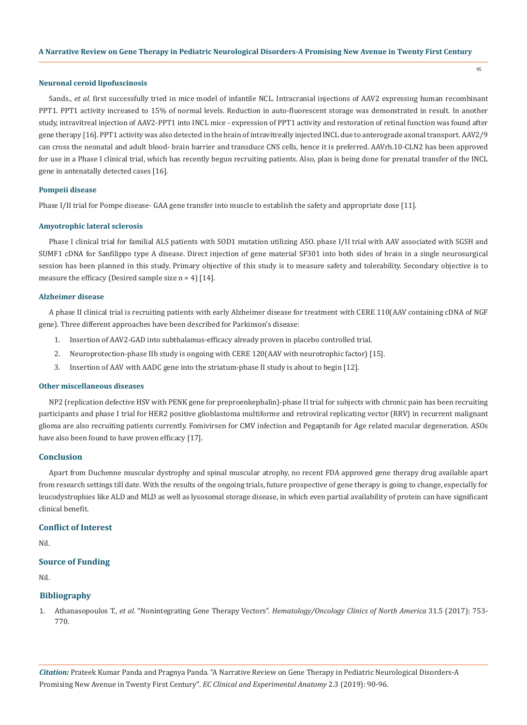95

#### **Neuronal ceroid lipofuscinosis**

Sands., *et al.* first successfully tried in mice model of infantile NCL. Intracranial injections of AAV2 expressing human recombinant PPT1. PPT1 activity increased to 15% of normal levels. Reduction in auto-fluorescent storage was demonstrated in result. In another study, intravitreal injection of AAV2-PPT1 into INCL mice - expression of PPT1 activity and restoration of retinal function was found after gene therapy [16]. PPT1 activity was also detected in the brain of intravitreally injected INCL due to anterograde axonal transport. AAV2/9 can cross the neonatal and adult blood- brain barrier and transduce CNS cells, hence it is preferred. AAVrh.10-CLN2 has been approved for use in a Phase I clinical trial, which has recently begun recruiting patients. Also, plan is being done for prenatal transfer of the INCL gene in antenatally detected cases [16].

### **Pompeii disease**

Phase I/II trial for Pompe disease- GAA gene transfer into muscle to establish the safety and appropriate dose [11].

### **Amyotrophic lateral sclerosis**

Phase I clinical trial for familial ALS patients with SOD1 mutation utilizing ASO. phase I/II trial with AAV associated with SGSH and SUMF1 cDNA for Sanfilippo type A disease. Direct injection of gene material SF301 into both sides of brain in a single neurosurgical session has been planned in this study. Primary objective of this study is to measure safety and tolerability. Secondary objective is to measure the efficacy (Desired sample size  $n = 4$ ) [14].

### **Alzheimer disease**

A phase II clinical trial is recruiting patients with early Alzheimer disease for treatment with CERE 110(AAV containing cDNA of NGF gene). Three different approaches have been described for Parkinson's disease:

- 1. Insertion of AAV2-GAD into subthalamus-efficacy already proven in placebo controlled trial.
- 2. Neuroprotection-phase IIb study is ongoing with CERE 120(AAV with neurotrophic factor) [15].
- 3. Insertion of AAV with AADC gene into the striatum-phase II study is about to begin [12].

### **Other miscellaneous diseases**

NP2 (replication defective HSV with PENK gene for preproenkephalin)-phase II trial for subjects with chronic pain has been recruiting participants and phase I trial for HER2 positive glioblastoma multiforme and retroviral replicating vector (RRV) in recurrent malignant glioma are also recruiting patients currently. Fomivirsen for CMV infection and Pegaptanib for Age related macular degeneration. ASOs have also been found to have proven efficacy [17].

## **Conclusion**

Apart from Duchenne muscular dystrophy and spinal muscular atrophy, no recent FDA approved gene therapy drug available apart from research settings till date. With the results of the ongoing trials, future prospective of gene therapy is going to change, especially for leucodystrophies like ALD and MLD as well as lysosomal storage disease, in which even partial availability of protein can have significant clinical benefit.

# **Conflict of Interest**

Nil.

### **Source of Funding**

Nil.

### **Bibliography**

1. Athanasopoulos T., *et al*. "Nonintegrating Gene Therapy Vectors". *[Hematology/Oncology Clinics of North America](https://www.ncbi.nlm.nih.gov/pubmed/28895845)* 31.5 (2017): 753- [770.](https://www.ncbi.nlm.nih.gov/pubmed/28895845)